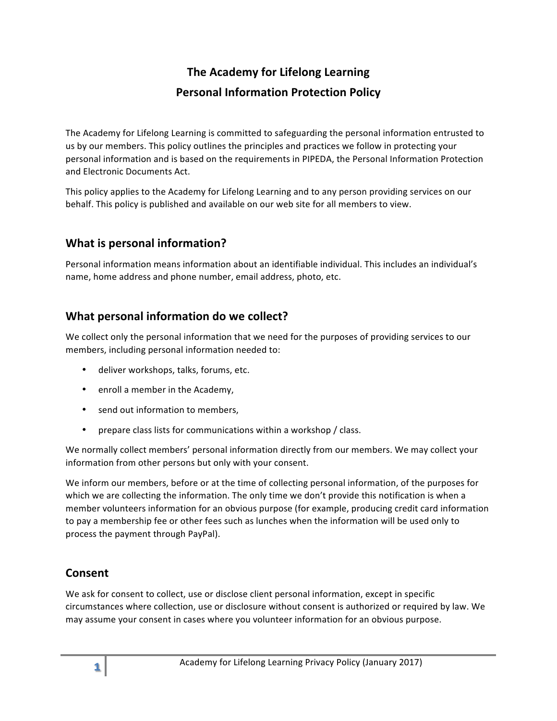# **The Academy for Lifelong Learning Personal Information Protection Policy**

The Academy for Lifelong Learning is committed to safeguarding the personal information entrusted to us by our members. This policy outlines the principles and practices we follow in protecting your personal information and is based on the requirements in PIPEDA, the Personal Information Protection and Electronic Documents Act.

This policy applies to the Academy for Lifelong Learning and to any person providing services on our behalf. This policy is published and available on our web site for all members to view.

## **What is personal information?**

Personal information means information about an identifiable individual. This includes an individual's name, home address and phone number, email address, photo, etc.

## **What personal information do we collect?**

We collect only the personal information that we need for the purposes of providing services to our members, including personal information needed to:

- deliver workshops, talks, forums, etc.
- enroll a member in the Academy,
- send out information to members,
- prepare class lists for communications within a workshop / class.

We normally collect members' personal information directly from our members. We may collect your information from other persons but only with your consent.

We inform our members, before or at the time of collecting personal information, of the purposes for which we are collecting the information. The only time we don't provide this notification is when a member volunteers information for an obvious purpose (for example, producing credit card information to pay a membership fee or other fees such as lunches when the information will be used only to process the payment through PayPal).

### **Consent**

We ask for consent to collect, use or disclose client personal information, except in specific circumstances where collection, use or disclosure without consent is authorized or required by law. We may assume your consent in cases where you volunteer information for an obvious purpose.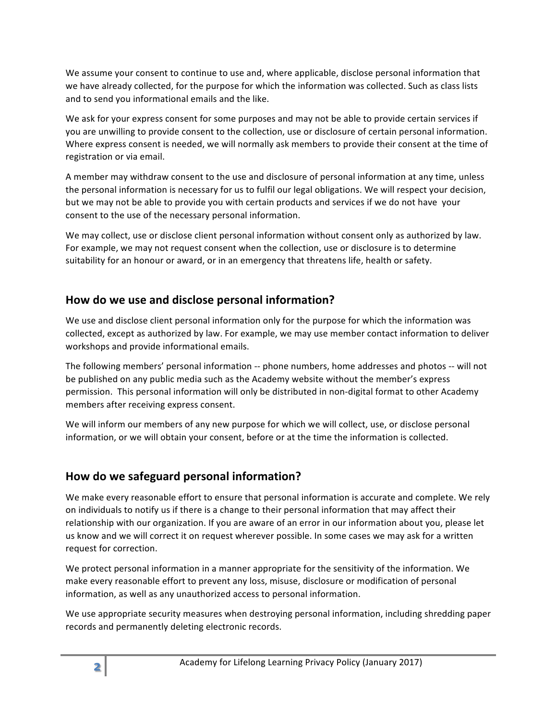We assume your consent to continue to use and, where applicable, disclose personal information that we have already collected, for the purpose for which the information was collected. Such as class lists and to send you informational emails and the like.

We ask for your express consent for some purposes and may not be able to provide certain services if you are unwilling to provide consent to the collection, use or disclosure of certain personal information. Where express consent is needed, we will normally ask members to provide their consent at the time of registration or via email.

A member may withdraw consent to the use and disclosure of personal information at any time, unless the personal information is necessary for us to fulfil our legal obligations. We will respect your decision, but we may not be able to provide you with certain products and services if we do not have your consent to the use of the necessary personal information.

We may collect, use or disclose client personal information without consent only as authorized by law. For example, we may not request consent when the collection, use or disclosure is to determine suitability for an honour or award, or in an emergency that threatens life, health or safety.

### How do we use and disclose personal information?

We use and disclose client personal information only for the purpose for which the information was collected, except as authorized by law. For example, we may use member contact information to deliver workshops and provide informational emails.

The following members' personal information -- phone numbers, home addresses and photos -- will not be published on any public media such as the Academy website without the member's express permission. This personal information will only be distributed in non-digital format to other Academy members after receiving express consent.

We will inform our members of any new purpose for which we will collect, use, or disclose personal information, or we will obtain your consent, before or at the time the information is collected.

### How do we safeguard personal information?

We make every reasonable effort to ensure that personal information is accurate and complete. We rely on individuals to notify us if there is a change to their personal information that may affect their relationship with our organization. If you are aware of an error in our information about you, please let us know and we will correct it on request wherever possible. In some cases we may ask for a written request for correction.

We protect personal information in a manner appropriate for the sensitivity of the information. We make every reasonable effort to prevent any loss, misuse, disclosure or modification of personal information, as well as any unauthorized access to personal information.

We use appropriate security measures when destroying personal information, including shredding paper records and permanently deleting electronic records.